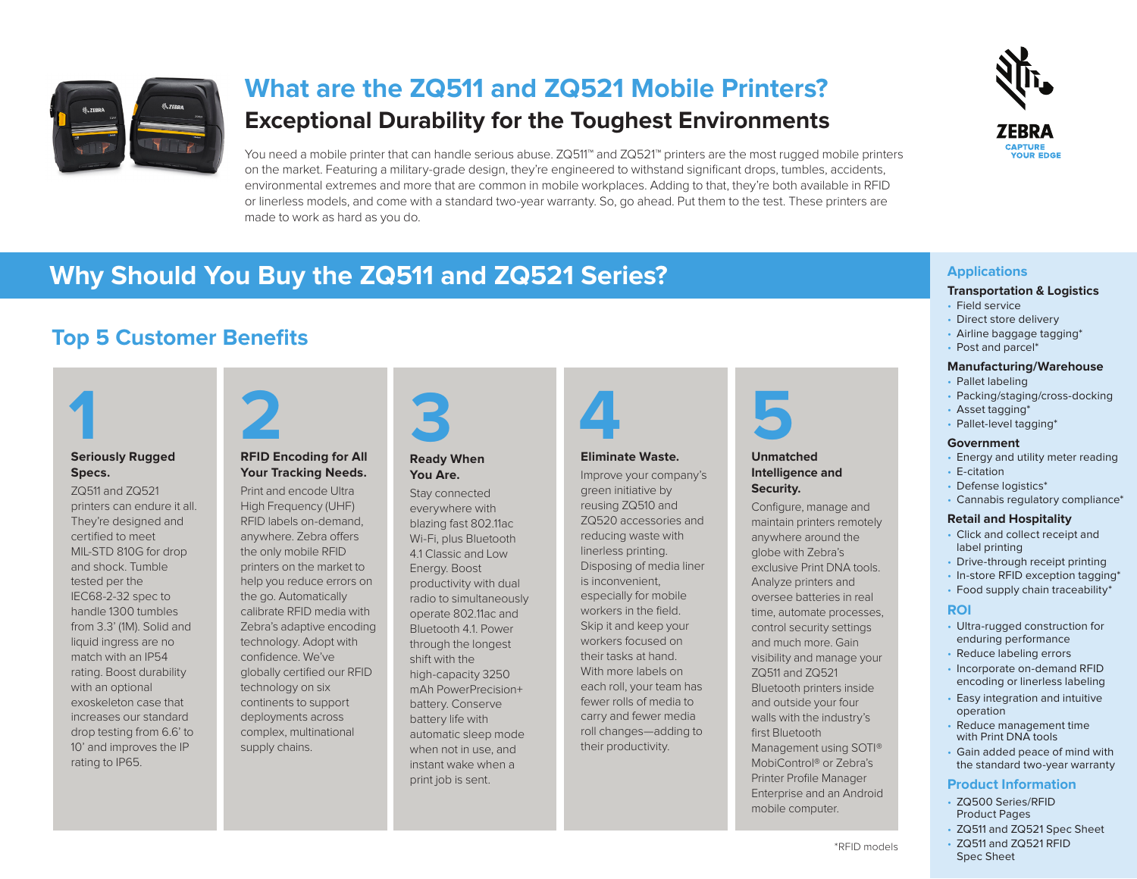

# **What are the ZQ511 and ZQ521 Mobile Printers? Exceptional Durability for the Toughest Environments**

You need a mobile printer that can handle serious abuse. ZQ511™ and ZQ521™ printers are the most rugged mobile printers on the market. Featuring a military-grade design, they're engineered to withstand significant drops, tumbles, accidents, environmental extremes and more that are common in mobile workplaces. Adding to that, they're both available in RFID or linerless models, and come with a standard two-year warranty. So, go ahead. Put them to the test. These printers are made to work as hard as you do.



# **Why Should You Buy the ZQ511 and ZQ521 Series? Applications**

## **Top 5 Customer Benefits**



#### **Seriously Rugged Specs.**

ZQ511 and ZQ521 printers can endure it all. They're designed and certified to meet MIL-STD 810G for drop and shock. Tumble tested per the IEC68-2-32 spec to handle 1300 tumbles from 3.3' (1M). Solid and liquid ingress are no match with an IP54 rating. Boost durability with an optional exoskeleton case that increases our standard drop testing from 6.6' to 10' and improves the IP rating to IP65.



#### **RFID Encoding for All Your Tracking Needs.**

Print and encode Ultra High Frequency (UHF) RFID labels on-demand, anywhere. Zebra offers the only mobile RFID printers on the market to help you reduce errors on the go. Automatically calibrate RFID media with Zebra's adaptive encoding technology. Adopt with confidence. We've globally certified our RFID technology on six continents to support deployments across complex, multinational supply chains.





#### **Ready When You Are.**

Stay connected everywhere with blazing fast 802.11ac Wi-Fi, plus Bluetooth 4.1 Classic and Low Energy. Boost productivity with dual radio to simultaneously operate 802.11ac and Bluetooth 4.1. Power through the longest shift with the high-capacity 3250 mAh PowerPrecision+ battery. Conserve battery life with automatic sleep mode when not in use, and instant wake when a print job is sent.



#### **Eliminate Waste.**

Improve your company's green initiative by reusing ZQ510 and ZQ520 accessories and reducing waste with linerless printing. Disposing of media liner is inconvenient, especially for mobile workers in the field. Skip it and keep your workers focused on their tasks at hand. With more labels on each roll, your team has fewer rolls of media to carry and fewer media roll changes—adding to their productivity.



#### **Unmatched Intelligence and Security.**

Configure, manage and maintain printers remotely anywhere around the globe with Zebra's exclusive Print DNA tools. Analyze printers and oversee batteries in real time, automate processes, control security settings and much more. Gain visibility and manage your ZQ511 and ZQ521 Bluetooth printers inside and outside your four walls with the industry's first Bluetooth Management using SOTI® MobiControl® or Zebra's Printer Profile Manager Enterprise and an Android mobile computer.

### **Transportation & Logistics**

- Field service
- Direct store delivery • Airline baggage tagging\*
- Post and parcel\*

#### **Manufacturing/Warehouse**

- Pallet labeling • Packing/staging/cross-docking
- Asset tagging\*
- Pallet-level tagging\*

#### **Government**

- Energy and utility meter reading • E-citation
- Defense logistics\*
- Cannabis regulatory compliance\*

#### **Retail and Hospitality**

- Click and collect receipt and label printing
- Drive-through receipt printing
- In-store RFID exception tagging\*
- Food supply chain traceability\*

#### **ROI**

- Ultra-rugged construction for enduring performance
- Reduce labeling errors
- Incorporate on-demand RFID encoding or linerless labeling
- Easy integration and intuitive operation
- Reduce management time with Print DNA tools
- Gain added peace of mind with the standard two-year warranty

#### **Product Information**

- ZQ500 Series/RFID Product Pages
- ZQ511 and ZQ521 Spec Sheet
- ZQ511 and ZQ521 RFID Spec Sheet